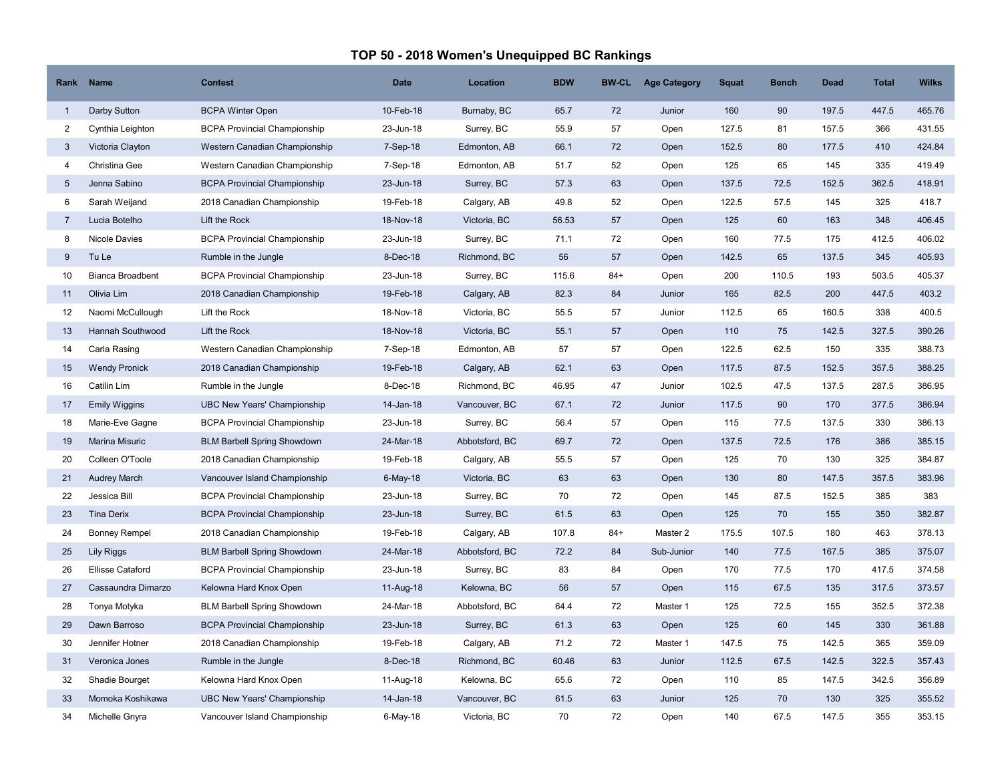## TOP 50 - 2018 Women's Unequipped BC Rankings

| Rank            | <b>Name</b>             | <b>Contest</b>                      | <b>Date</b> | Location       | <b>BDW</b> | <b>BW-CL</b> | <b>Age Category</b> | <b>Squat</b> | <b>Bench</b> | <b>Dead</b> | <b>Total</b> | <b>Wilks</b> |
|-----------------|-------------------------|-------------------------------------|-------------|----------------|------------|--------------|---------------------|--------------|--------------|-------------|--------------|--------------|
| $\overline{1}$  | Darby Sutton            | <b>BCPA Winter Open</b>             | 10-Feb-18   | Burnaby, BC    | 65.7       | 72           | Junior              | 160          | 90           | 197.5       | 447.5        | 465.76       |
| 2               | Cynthia Leighton        | <b>BCPA Provincial Championship</b> | 23-Jun-18   | Surrey, BC     | 55.9       | 57           | Open                | 127.5        | 81           | 157.5       | 366          | 431.55       |
| 3               | Victoria Clayton        | Western Canadian Championship       | 7-Sep-18    | Edmonton, AB   | 66.1       | 72           | Open                | 152.5        | 80           | 177.5       | 410          | 424.84       |
| $\overline{4}$  | Christina Gee           | Western Canadian Championship       | 7-Sep-18    | Edmonton, AB   | 51.7       | 52           | Open                | 125          | 65           | 145         | 335          | 419.49       |
| $5\overline{)}$ | Jenna Sabino            | <b>BCPA Provincial Championship</b> | 23-Jun-18   | Surrey, BC     | 57.3       | 63           | Open                | 137.5        | 72.5         | 152.5       | 362.5        | 418.91       |
| 6               | Sarah Weijand           | 2018 Canadian Championship          | 19-Feb-18   | Calgary, AB    | 49.8       | 52           | Open                | 122.5        | 57.5         | 145         | 325          | 418.7        |
| $\overline{7}$  | Lucia Botelho           | Lift the Rock                       | 18-Nov-18   | Victoria, BC   | 56.53      | 57           | Open                | 125          | 60           | 163         | 348          | 406.45       |
| 8               | Nicole Davies           | <b>BCPA Provincial Championship</b> | 23-Jun-18   | Surrey, BC     | 71.1       | 72           | Open                | 160          | 77.5         | 175         | 412.5        | 406.02       |
| 9               | Tu Le                   | Rumble in the Jungle                | 8-Dec-18    | Richmond, BC   | 56         | 57           | Open                | 142.5        | 65           | 137.5       | 345          | 405.93       |
| 10              | <b>Bianca Broadbent</b> | <b>BCPA Provincial Championship</b> | 23-Jun-18   | Surrey, BC     | 115.6      | $84+$        | Open                | 200          | 110.5        | 193         | 503.5        | 405.37       |
| 11              | Olivia Lim              | 2018 Canadian Championship          | 19-Feb-18   | Calgary, AB    | 82.3       | 84           | Junior              | 165          | 82.5         | 200         | 447.5        | 403.2        |
| 12              | Naomi McCullough        | Lift the Rock                       | 18-Nov-18   | Victoria, BC   | 55.5       | 57           | Junior              | 112.5        | 65           | 160.5       | 338          | 400.5        |
| 13              | <b>Hannah Southwood</b> | Lift the Rock                       | 18-Nov-18   | Victoria, BC   | 55.1       | 57           | Open                | 110          | 75           | 142.5       | 327.5        | 390.26       |
| 14              | Carla Rasing            | Western Canadian Championship       | 7-Sep-18    | Edmonton, AB   | 57         | 57           | Open                | 122.5        | 62.5         | 150         | 335          | 388.73       |
| 15              | <b>Wendy Pronick</b>    | 2018 Canadian Championship          | 19-Feb-18   | Calgary, AB    | 62.1       | 63           | Open                | 117.5        | 87.5         | 152.5       | 357.5        | 388.25       |
| 16              | Catilin Lim             | Rumble in the Jungle                | 8-Dec-18    | Richmond, BC   | 46.95      | 47           | Junior              | 102.5        | 47.5         | 137.5       | 287.5        | 386.95       |
| 17              | <b>Emily Wiggins</b>    | <b>UBC New Years' Championship</b>  | 14-Jan-18   | Vancouver, BC  | 67.1       | 72           | Junior              | 117.5        | 90           | 170         | 377.5        | 386.94       |
| 18              | Marie-Eve Gagne         | <b>BCPA Provincial Championship</b> | 23-Jun-18   | Surrey, BC     | 56.4       | 57           | Open                | 115          | 77.5         | 137.5       | 330          | 386.13       |
| 19              | Marina Misuric          | <b>BLM Barbell Spring Showdown</b>  | 24-Mar-18   | Abbotsford, BC | 69.7       | 72           | Open                | 137.5        | 72.5         | 176         | 386          | 385.15       |
| 20              | Colleen O'Toole         | 2018 Canadian Championship          | 19-Feb-18   | Calgary, AB    | 55.5       | 57           | Open                | 125          | 70           | 130         | 325          | 384.87       |
| 21              | <b>Audrey March</b>     | Vancouver Island Championship       | $6$ -May-18 | Victoria, BC   | 63         | 63           | Open                | 130          | 80           | 147.5       | 357.5        | 383.96       |
| 22              | Jessica Bill            | <b>BCPA Provincial Championship</b> | 23-Jun-18   | Surrey, BC     | 70         | 72           | Open                | 145          | 87.5         | 152.5       | 385          | 383          |
| 23              | <b>Tina Derix</b>       | <b>BCPA Provincial Championship</b> | 23-Jun-18   | Surrey, BC     | 61.5       | 63           | Open                | 125          | 70           | 155         | 350          | 382.87       |
| 24              | <b>Bonney Rempel</b>    | 2018 Canadian Championship          | 19-Feb-18   | Calgary, AB    | 107.8      | $84+$        | Master 2            | 175.5        | 107.5        | 180         | 463          | 378.13       |
| 25              | Lily Riggs              | <b>BLM Barbell Spring Showdown</b>  | 24-Mar-18   | Abbotsford, BC | 72.2       | 84           | Sub-Junior          | 140          | 77.5         | 167.5       | 385          | 375.07       |
| 26              | <b>Ellisse Cataford</b> | <b>BCPA Provincial Championship</b> | 23-Jun-18   | Surrey, BC     | 83         | 84           | Open                | 170          | 77.5         | 170         | 417.5        | 374.58       |
| 27              | Cassaundra Dimarzo      | Kelowna Hard Knox Open              | 11-Aug-18   | Kelowna, BC    | 56         | 57           | Open                | 115          | 67.5         | 135         | 317.5        | 373.57       |
| 28              | Tonya Motyka            | <b>BLM Barbell Spring Showdown</b>  | 24-Mar-18   | Abbotsford, BC | 64.4       | 72           | Master 1            | 125          | 72.5         | 155         | 352.5        | 372.38       |
| 29              | Dawn Barroso            | <b>BCPA Provincial Championship</b> | 23-Jun-18   | Surrey, BC     | 61.3       | 63           | Open                | 125          | 60           | 145         | 330          | 361.88       |
| 30              | Jennifer Hotner         | 2018 Canadian Championship          | 19-Feb-18   | Calgary, AB    | 71.2       | 72           | Master 1            | 147.5        | 75           | 142.5       | 365          | 359.09       |
| 31              | Veronica Jones          | Rumble in the Jungle                | 8-Dec-18    | Richmond, BC   | 60.46      | 63           | Junior              | 112.5        | 67.5         | 142.5       | 322.5        | 357.43       |
| 32              | Shadie Bourget          | Kelowna Hard Knox Open              | 11-Aug-18   | Kelowna, BC    | 65.6       | 72           | Open                | 110          | 85           | 147.5       | 342.5        | 356.89       |
| 33              | Momoka Koshikawa        | <b>UBC New Years' Championship</b>  | 14-Jan-18   | Vancouver, BC  | 61.5       | 63           | Junior              | 125          | 70           | 130         | 325          | 355.52       |
| 34              | Michelle Gnyra          | Vancouver Island Championship       | $6$ -May-18 | Victoria, BC   | 70         | 72           | Open                | 140          | 67.5         | 147.5       | 355          | 353.15       |